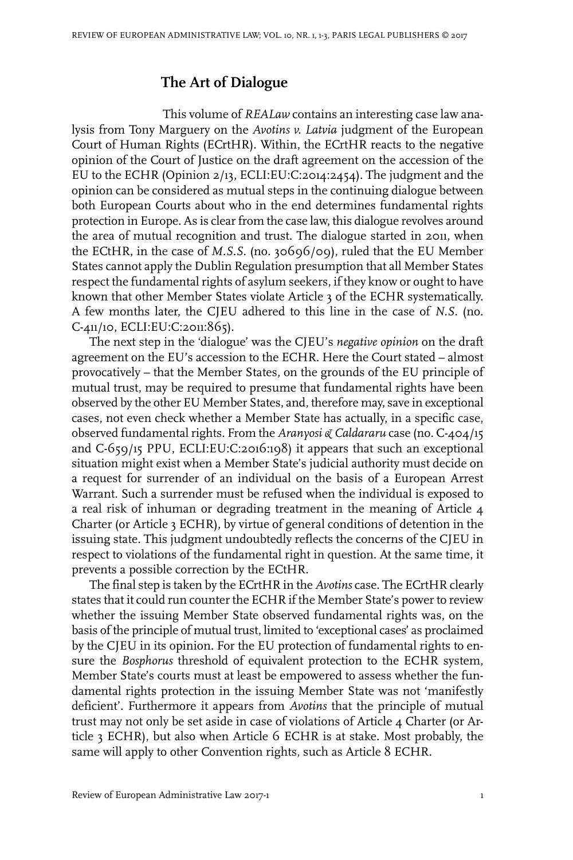## **The Art of Dialogue**

This volume of *REALaw* contains an interesting case law analysis from Tony Marguery on the *Avotins v. Latvia* judgment of the European Court of Human Rights (ECrtHR). Within, the ECrtHR reacts to the negative opinion of the Court of Justice on the draft agreement on the accession of the EU to the ECHR (Opinion 2/13, ECLI:EU:C:2014:2454). The judgment and the opinion can be considered as mutual steps in the continuing dialogue between both European Courts about who in the end determines fundamental rights protection in Europe. As is clear from the case law, this dialogue revolves around the area of mutual recognition and trust. The dialogue started in 2011, when the ECtHR, in the case of *M.S.S*. (no. 30696/09), ruled that the EU Member States cannot apply the Dublin Regulation presumption that all Member States respect the fundamental rights of asylum seekers, if they know or ought to have known that other Member States violate Article 3 of the ECHR systematically. A few months later, the CJEU adhered to this line in the case of *N.S.* (no. C-411/10, ECLI:EU:C:2011:865).

The next step in the 'dialogue' was the CJEU's *negative opinion* on the draft agreement on the EU's accession to the ECHR. Here the Court stated – almost provocatively – that the Member States, on the grounds of the EU principle of mutual trust, may be required to presume that fundamental rights have been observed by the other EU Member States, and, therefore may, save in exceptional cases, not even check whether a Member State has actually, in a specific case, observed fundamental rights. From the *Aranyosi & Caldararu* case (no. C-404/15 and C-659/15 PPU, ECLI:EU:C:2016:198) it appears that such an exceptional situation might exist when a Member State's judicial authority must decide on a request for surrender of an individual on the basis of a European Arrest Warrant. Such a surrender must be refused when the individual is exposed to a real risk of inhuman or degrading treatment in the meaning of Article 4 Charter (or Article 3 ECHR), by virtue of general conditions of detention in the issuing state. This judgment undoubtedly reflects the concerns of the CJEU in respect to violations of the fundamental right in question. At the same time, it prevents a possible correction by the ECtHR.

The final step is taken by the ECrtHR in the *Avotins* case. The ECrtHR clearly states that it could run counter the ECHR if the Member State's power to review whether the issuing Member State observed fundamental rights was, on the basis of the principle of mutual trust, limited to 'exceptional cases' as proclaimed by the CJEU in its opinion. For the EU protection of fundamental rights to ensure the *Bosphorus* threshold of equivalent protection to the ECHR system, Member State's courts must at least be empowered to assess whether the fundamental rights protection in the issuing Member State was not 'manifestly deficient'. Furthermore it appears from *Avotins* that the principle of mutual trust may not only be set aside in case of violations of Article 4 Charter (or Article 3 ECHR), but also when Article 6 ECHR is at stake. Most probably, the same will apply to other Convention rights, such as Article 8 ECHR.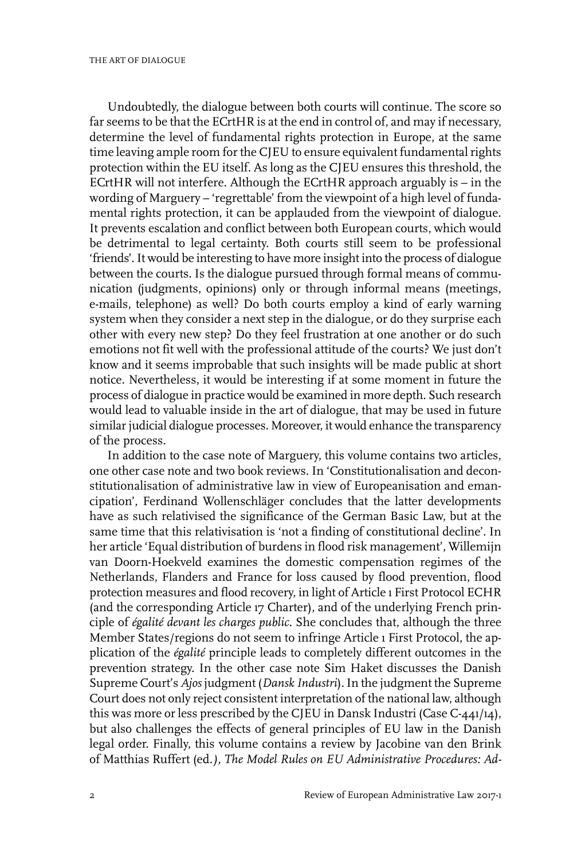Undoubtedly, the dialogue between both courts will continue. The score so far seems to be that the ECrtHR is at the end in control of, and may if necessary, determine the level of fundamental rights protection in Europe, at the same time leaving ample room for the CJEU to ensure equivalent fundamental rights protection within the EU itself. As long as the CJEU ensures this threshold, the ECrtHR will not interfere. Although the ECrtHR approach arguably is – in the wording of Marguery – 'regrettable' from the viewpoint of a high level of fundamental rights protection, it can be applauded from the viewpoint of dialogue. It prevents escalation and conflict between both European courts, which would be detrimental to legal certainty. Both courts still seem to be professional 'friends'.It would be interesting to have more insight into the process of dialogue between the courts. Is the dialogue pursued through formal means of communication (judgments, opinions) only or through informal means (meetings, e-mails, telephone) as well? Do both courts employ a kind of early warning system when they consider a next step in the dialogue, or do they surprise each other with every new step? Do they feel frustration at one another or do such emotions not fit well with the professional attitude of the courts? We just don't know and it seems improbable that such insights will be made public at short notice. Nevertheless, it would be interesting if at some moment in future the process of dialogue in practice would be examined in more depth. Such research would lead to valuable inside in the art of dialogue, that may be used in future similar judicial dialogue processes. Moreover, it would enhance the transparency of the process.

In addition to the case note of Marguery, this volume contains two articles, one other case note and two book reviews. In 'Constitutionalisation and deconstitutionalisation of administrative law in view of Europeanisation and emancipation', Ferdinand Wollenschläger concludes that the latter developments have as such relativised the significance of the German Basic Law, but at the same time that this relativisation is 'not a finding of constitutional decline'. In her article 'Equal distribution of burdens in flood risk management', Willemijn van Doorn-Hoekveld examines the domestic compensation regimes of the Netherlands, Flanders and France for loss caused by flood prevention, flood protection measures and flood recovery, in light of Article 1 First Protocol ECHR (and the corresponding Article 17 Charter), and of the underlying French principle of *égalité devant les charges public*. She concludes that, although the three Member States/regions do not seem to infringe Article 1 First Protocol, the application of the *égalité* principle leads to completely different outcomes in the prevention strategy. In the other case note Sim Haket discusses the Danish Supreme Court's *Ajos* judgment (*Dansk Industri*).In the judgment the Supreme Court does not only reject consistent interpretation of the national law, although this was more or less prescribed by the CJEU in Dansk Industri (Case C-441/14), but also challenges the effects of general principles of EU law in the Danish legal order. Finally, this volume contains a review by Jacobine van den Brink of Matthias Ruffert (ed*.), The Model Rules on EU Administrative Procedures: Ad-*